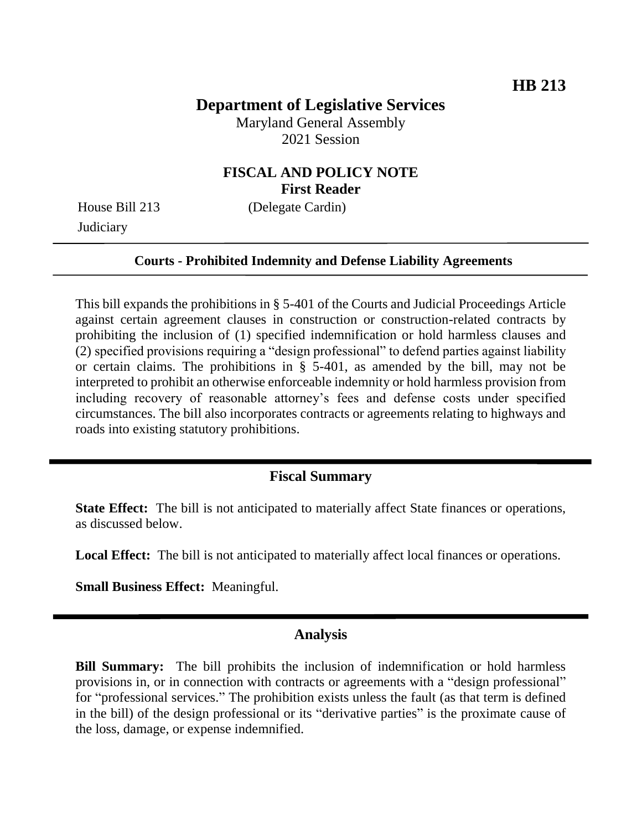# **Department of Legislative Services**

Maryland General Assembly 2021 Session

## **FISCAL AND POLICY NOTE First Reader**

**Judiciary** 

House Bill 213 (Delegate Cardin)

#### **Courts - Prohibited Indemnity and Defense Liability Agreements**

This bill expands the prohibitions in § 5-401 of the Courts and Judicial Proceedings Article against certain agreement clauses in construction or construction-related contracts by prohibiting the inclusion of (1) specified indemnification or hold harmless clauses and (2) specified provisions requiring a "design professional" to defend parties against liability or certain claims. The prohibitions in § 5-401, as amended by the bill, may not be interpreted to prohibit an otherwise enforceable indemnity or hold harmless provision from including recovery of reasonable attorney's fees and defense costs under specified circumstances. The bill also incorporates contracts or agreements relating to highways and roads into existing statutory prohibitions.

## **Fiscal Summary**

**State Effect:** The bill is not anticipated to materially affect State finances or operations, as discussed below.

**Local Effect:** The bill is not anticipated to materially affect local finances or operations.

**Small Business Effect:** Meaningful.

#### **Analysis**

**Bill Summary:** The bill prohibits the inclusion of indemnification or hold harmless provisions in, or in connection with contracts or agreements with a "design professional" for "professional services." The prohibition exists unless the fault (as that term is defined in the bill) of the design professional or its "derivative parties" is the proximate cause of the loss, damage, or expense indemnified.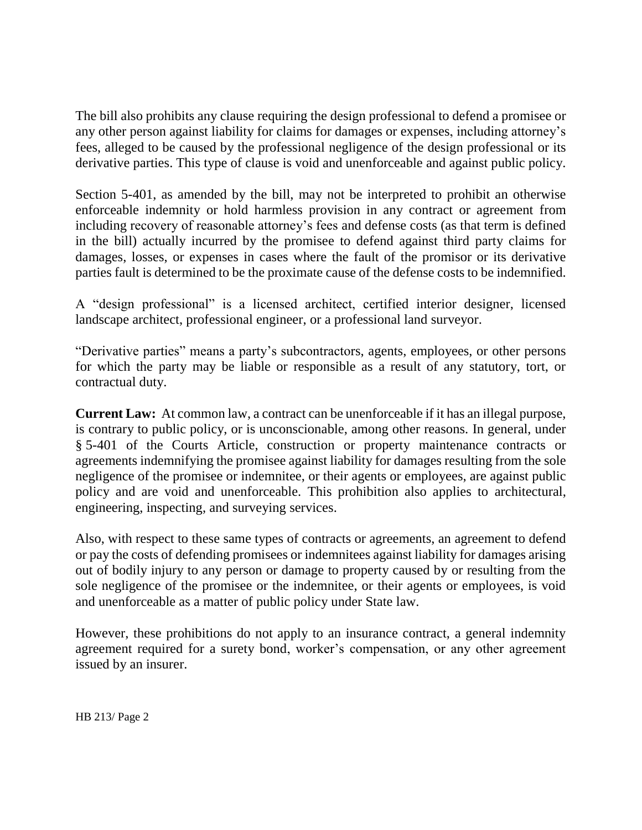The bill also prohibits any clause requiring the design professional to defend a promisee or any other person against liability for claims for damages or expenses, including attorney's fees, alleged to be caused by the professional negligence of the design professional or its derivative parties. This type of clause is void and unenforceable and against public policy.

Section 5-401, as amended by the bill, may not be interpreted to prohibit an otherwise enforceable indemnity or hold harmless provision in any contract or agreement from including recovery of reasonable attorney's fees and defense costs (as that term is defined in the bill) actually incurred by the promisee to defend against third party claims for damages, losses, or expenses in cases where the fault of the promisor or its derivative parties fault is determined to be the proximate cause of the defense costs to be indemnified.

A "design professional" is a licensed architect, certified interior designer, licensed landscape architect, professional engineer, or a professional land surveyor.

"Derivative parties" means a party's subcontractors, agents, employees, or other persons for which the party may be liable or responsible as a result of any statutory, tort, or contractual duty.

**Current Law:** At common law, a contract can be unenforceable if it has an illegal purpose, is contrary to public policy, or is unconscionable, among other reasons. In general, under § 5-401 of the Courts Article, construction or property maintenance contracts or agreements indemnifying the promisee against liability for damages resulting from the sole negligence of the promisee or indemnitee, or their agents or employees, are against public policy and are void and unenforceable. This prohibition also applies to architectural, engineering, inspecting, and surveying services.

Also, with respect to these same types of contracts or agreements, an agreement to defend or pay the costs of defending promisees or indemnitees against liability for damages arising out of bodily injury to any person or damage to property caused by or resulting from the sole negligence of the promisee or the indemnitee, or their agents or employees, is void and unenforceable as a matter of public policy under State law.

However, these prohibitions do not apply to an insurance contract, a general indemnity agreement required for a surety bond, worker's compensation, or any other agreement issued by an insurer.

HB 213/ Page 2